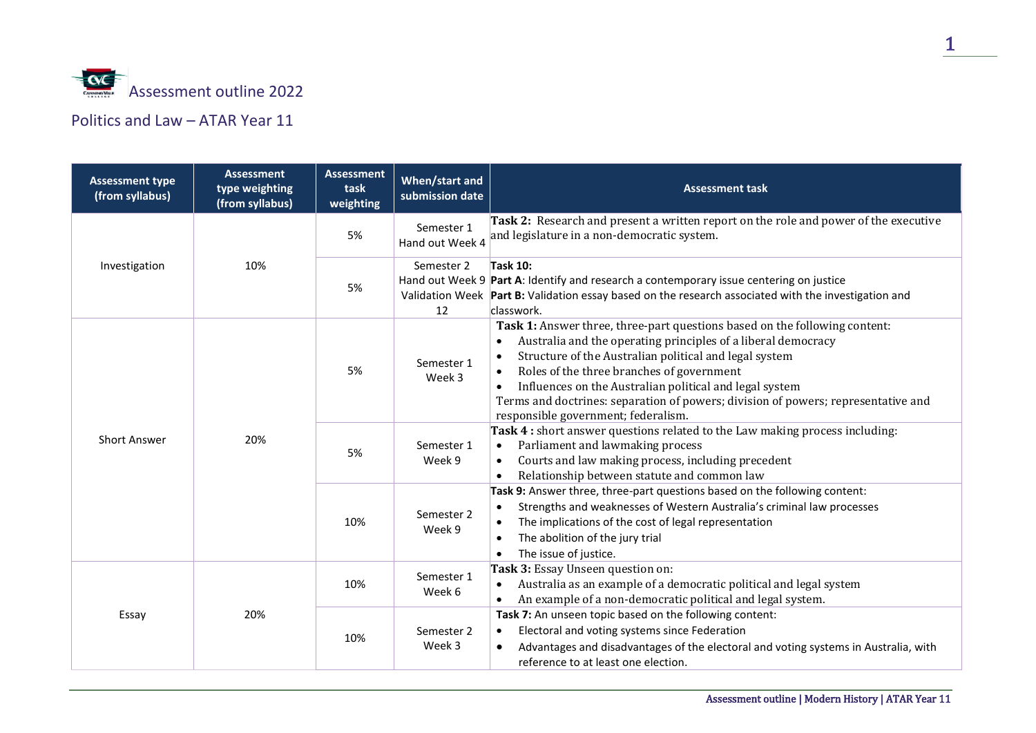

## Politics and Law – ATAR Year 11

| <b>Assessment type</b><br>(from syllabus) | <b>Assessment</b><br>type weighting<br>(from syllabus) | <b>Assessment</b><br>task<br>weighting | When/start and<br>submission date | <b>Assessment task</b>                                                                                                                                                                                                                                                                                                                                                                                                                                 |
|-------------------------------------------|--------------------------------------------------------|----------------------------------------|-----------------------------------|--------------------------------------------------------------------------------------------------------------------------------------------------------------------------------------------------------------------------------------------------------------------------------------------------------------------------------------------------------------------------------------------------------------------------------------------------------|
| Investigation                             | 10%                                                    | 5%                                     | Semester 1<br>Hand out Week 4     | <b>Task 2:</b> Research and present a written report on the role and power of the executive<br>and legislature in a non-democratic system.                                                                                                                                                                                                                                                                                                             |
|                                           |                                                        | 5%                                     | Semester 2<br>12                  | <b>Task 10:</b><br>Hand out Week 9 Part A: Identify and research a contemporary issue centering on justice<br>Validation Week Part B: Validation essay based on the research associated with the investigation and<br>classwork.                                                                                                                                                                                                                       |
| <b>Short Answer</b>                       | 20%                                                    | 5%                                     | Semester 1<br>Week 3              | Task 1: Answer three, three-part questions based on the following content:<br>Australia and the operating principles of a liberal democracy<br>Structure of the Australian political and legal system<br>Roles of the three branches of government<br>$\bullet$<br>Influences on the Australian political and legal system<br>Terms and doctrines: separation of powers; division of powers; representative and<br>responsible government; federalism. |
|                                           |                                                        | 5%                                     | Semester 1<br>Week 9              | Task 4 : short answer questions related to the Law making process including:<br>Parliament and lawmaking process<br>Courts and law making process, including precedent<br>$\bullet$<br>Relationship between statute and common law                                                                                                                                                                                                                     |
|                                           |                                                        | 10%                                    | Semester 2<br>Week 9              | Task 9: Answer three, three-part questions based on the following content:<br>Strengths and weaknesses of Western Australia's criminal law processes<br>$\bullet$<br>The implications of the cost of legal representation<br>The abolition of the jury trial<br>The issue of justice.                                                                                                                                                                  |
| Essay                                     | 20%                                                    | 10%                                    | Semester 1<br>Week 6              | Task 3: Essay Unseen question on:<br>Australia as an example of a democratic political and legal system<br>An example of a non-democratic political and legal system.<br>$\bullet$                                                                                                                                                                                                                                                                     |
|                                           |                                                        | 10%                                    | Semester 2<br>Week 3              | Task 7: An unseen topic based on the following content:<br>Electoral and voting systems since Federation<br>$\bullet$<br>Advantages and disadvantages of the electoral and voting systems in Australia, with<br>$\bullet$<br>reference to at least one election.                                                                                                                                                                                       |